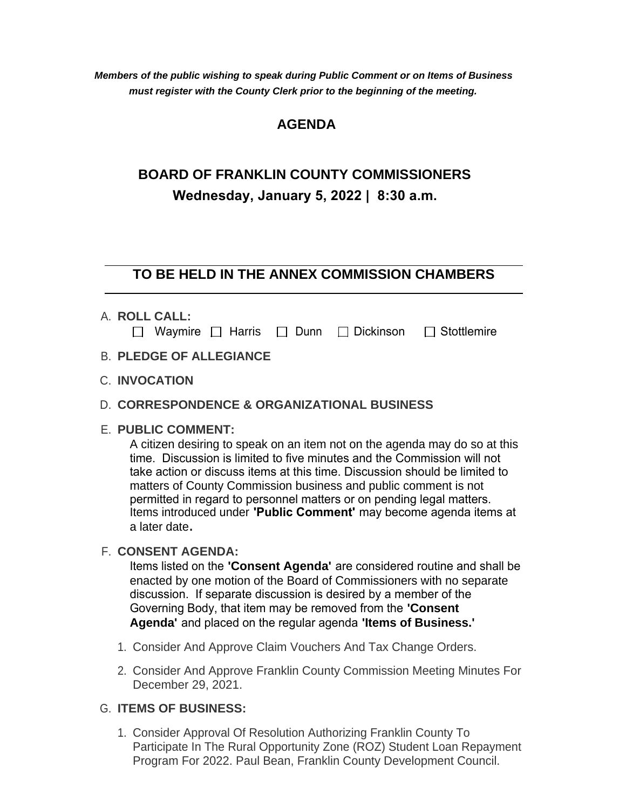*Members of the public wishing to speak during Public Comment or on Items of Business must register with the County Clerk prior to the beginning of the meeting.*

# **AGENDA**

# **BOARD OF FRANKLIN COUNTY COMMISSIONERS Wednesday, January 5, 2022 | 8:30 a.m.**

# **TO BE HELD IN THE ANNEX COMMISSION CHAMBERS**

**ROLL CALL:** A.

|  |  |  |  |  |  |  | $\Box$ Waymire $\Box$ Harris $\Box$ Dunn $\Box$ Dickinson $\Box$ Stottlemire |
|--|--|--|--|--|--|--|------------------------------------------------------------------------------|
|--|--|--|--|--|--|--|------------------------------------------------------------------------------|

- **PLEDGE OF ALLEGIANCE** B.
- **INVOCATION** C.

## **CORRESPONDENCE & ORGANIZATIONAL BUSINESS** D.

# **PUBLIC COMMENT:** E.

A citizen desiring to speak on an item not on the agenda may do so at this time. Discussion is limited to five minutes and the Commission will not take action or discuss items at this time. Discussion should be limited to matters of County Commission business and public comment is not permitted in regard to personnel matters or on pending legal matters. Items introduced under **'Public Comment'** may become agenda items at a later date**.**

## **CONSENT AGENDA:** F.

Items listed on the **'Consent Agenda'** are considered routine and shall be enacted by one motion of the Board of Commissioners with no separate discussion. If separate discussion is desired by a member of the Governing Body, that item may be removed from the **'Consent Agenda'** and placed on the regular agenda **'Items of Business.'**

- 1. Consider And Approve Claim Vouchers And Tax Change Orders.
- 2. Consider And Approve Franklin County Commission Meeting Minutes For December 29, 2021.

### **ITEMS OF BUSINESS:** G.

Consider Approval Of Resolution Authorizing Franklin County To 1. Participate In The Rural Opportunity Zone (ROZ) Student Loan Repayment Program For 2022. Paul Bean, Franklin County Development Council.